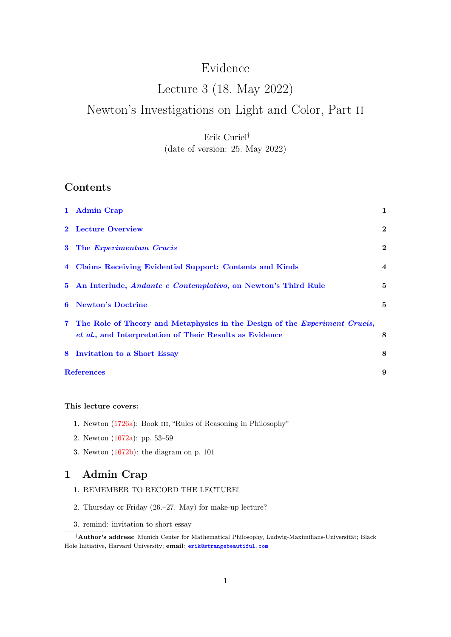# Evidence

# Lecture 3 (18. May 2022) Newton's Investigations on Light and Color, Part ii

## Erik Curiel† (date of version: 25. May 2022)

## Contents

|       | 1 Admin Crap                                                                                                                          | $\mathbf{1}$            |
|-------|---------------------------------------------------------------------------------------------------------------------------------------|-------------------------|
|       | 2 Lecture Overview                                                                                                                    | $\mathbf{2}$            |
|       | 3 The Experimentum Crucis                                                                                                             | $\bf{2}$                |
|       | 4 Claims Receiving Evidential Support: Contents and Kinds                                                                             | $\overline{\mathbf{4}}$ |
|       | 5 An Interlude, <i>Andante e Contemplativo</i> , on Newton's Third Rule                                                               | 5                       |
| 6     | <b>Newton's Doctrine</b>                                                                                                              | 5                       |
| $7 -$ | The Role of Theory and Metaphysics in the Design of the Experiment Crucis,<br>et al., and Interpretation of Their Results as Evidence | 8                       |
| 8     | Invitation to a Short Essay                                                                                                           | 8                       |
|       | <b>References</b><br>9                                                                                                                |                         |

#### This lecture covers:

- 1. Newton [\(1726a\)](#page-8-0): Book iii, "Rules of Reasoning in Philosophy"
- 2. Newton [\(1672a\)](#page-8-1): pp. 53–59
- 3. Newton [\(1672b\)](#page-8-2): the diagram on p. 101

### <span id="page-0-0"></span>1 Admin Crap

- 1. REMEMBER TO RECORD THE LECTURE!
- 2. Thursday or Friday (26.–27. May) for make-up lecture?
- 3. remind: invitation to short essay

<sup>†</sup>Author's address: Munich Center for Mathematical Philosophy, Ludwig-Maximilians-Universität; Black Hole Initiative, Harvard University; email: [erik@strangebeautiful.com](mailto:erik@strangebeautiful.com)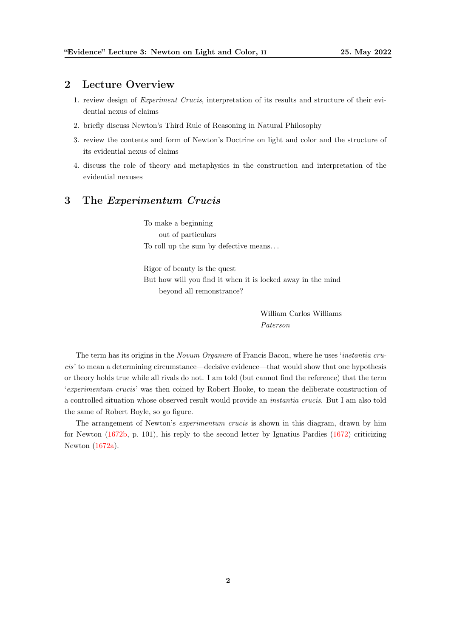#### <span id="page-1-0"></span>2 Lecture Overview

- 1. review design of Experiment Crucis, interpretation of its results and structure of their evidential nexus of claims
- 2. briefly discuss Newton's Third Rule of Reasoning in Natural Philosophy
- 3. review the contents and form of Newton's Doctrine on light and color and the structure of its evidential nexus of claims
- 4. discuss the role of theory and metaphysics in the construction and interpretation of the evidential nexuses

#### <span id="page-1-1"></span>3 The Experimentum Crucis

To make a beginning out of particulars To roll up the sum by defective means. . .

Rigor of beauty is the quest But how will you find it when it is locked away in the mind beyond all remonstrance?

> William Carlos Williams Paterson

The term has its origins in the Novum Organum of Francis Bacon, where he uses 'instantia crucis' to mean a determining circumstance—decisive evidence—that would show that one hypothesis or theory holds true while all rivals do not. I am told (but cannot find the reference) that the term 'experimentum crucis' was then coined by Robert Hooke, to mean the deliberate construction of a controlled situation whose observed result would provide an instantia crucis. But I am also told the same of Robert Boyle, so go figure.

The arrangement of Newton's *experimentum crucis* is shown in this diagram, drawn by him for Newton [\(1672b,](#page-8-2) p. 101), his reply to the second letter by Ignatius Pardies [\(1672\)](#page-8-3) criticizing Newton [\(1672a\)](#page-8-1).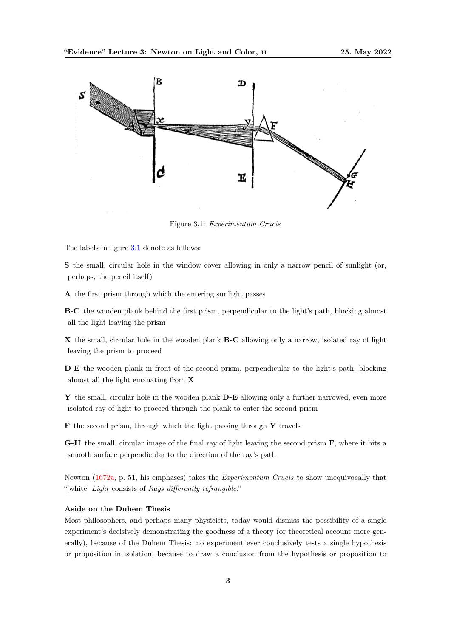<span id="page-2-0"></span>

Figure 3.1: Experimentum Crucis

The labels in figure [3.1](#page-2-0) denote as follows:

S the small, circular hole in the window cover allowing in only a narrow pencil of sunlight (or, perhaps, the pencil itself)

A the first prism through which the entering sunlight passes

B-C the wooden plank behind the first prism, perpendicular to the light's path, blocking almost all the light leaving the prism

X the small, circular hole in the wooden plank B-C allowing only a narrow, isolated ray of light leaving the prism to proceed

D-E the wooden plank in front of the second prism, perpendicular to the light's path, blocking almost all the light emanating from X

Y the small, circular hole in the wooden plank D-E allowing only a further narrowed, even more isolated ray of light to proceed through the plank to enter the second prism

 $\bf{F}$  the second prism, through which the light passing through  $\bf{Y}$  travels

G-H the small, circular image of the final ray of light leaving the second prism F, where it hits a smooth surface perpendicular to the direction of the ray's path

Newton [\(1672a,](#page-8-1) p. 51, his emphases) takes the Experimentum Crucis to show unequivocally that "[white] Light consists of Rays differently refrangible."

#### Aside on the Duhem Thesis

Most philosophers, and perhaps many physicists, today would dismiss the possibility of a single experiment's decisively demonstrating the goodness of a theory (or theoretical account more generally), because of the Duhem Thesis: no experiment ever conclusively tests a single hypothesis or proposition in isolation, because to draw a conclusion from the hypothesis or proposition to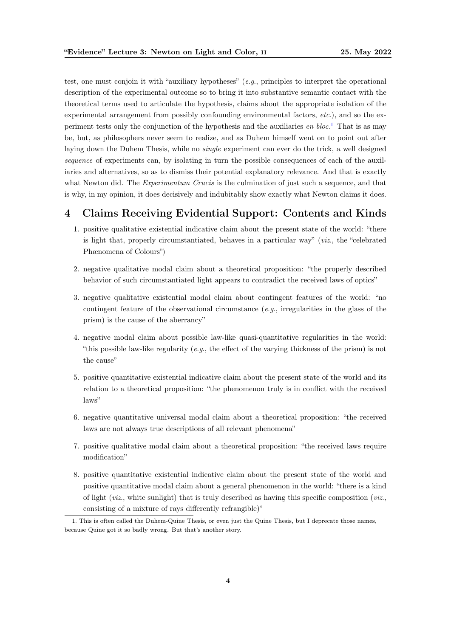test, one must conjoin it with "auxiliary hypotheses" (e.g., principles to interpret the operational description of the experimental outcome so to bring it into substantive semantic contact with the theoretical terms used to articulate the hypothesis, claims about the appropriate isolation of the experimental arrangement from possibly confounding environmental factors, etc.), and so the experiment tests only the conjunction of the hypothesis and the auxiliaries en  $block^1$  $block^1$  That is as may be, but, as philosophers never seem to realize, and as Duhem himself went on to point out after laying down the Duhem Thesis, while no *single* experiment can ever do the trick, a well designed sequence of experiments can, by isolating in turn the possible consequences of each of the auxiliaries and alternatives, so as to dismiss their potential explanatory relevance. And that is exactly what Newton did. The *Experimentum Crucis* is the culmination of just such a sequence, and that is why, in my opinion, it does decisively and indubitably show exactly what Newton claims it does.

### <span id="page-3-0"></span>4 Claims Receiving Evidential Support: Contents and Kinds

- 1. positive qualitative existential indicative claim about the present state of the world: "there is light that, properly circumstantiated, behaves in a particular way" ( $viz$ , the "celebrated Phænomena of Colours")
- 2. negative qualitative modal claim about a theoretical proposition: "the properly described behavior of such circumstantiated light appears to contradict the received laws of optics"
- 3. negative qualitative existential modal claim about contingent features of the world: "no contingent feature of the observational circumstance  $(e.g.,$  irregularities in the glass of the prism) is the cause of the aberrancy"
- 4. negative modal claim about possible law-like quasi-quantitative regularities in the world: "this possible law-like regularity (e.g., the effect of the varying thickness of the prism) is not the cause"
- 5. positive quantitative existential indicative claim about the present state of the world and its relation to a theoretical proposition: "the phenomenon truly is in conflict with the received laws"
- 6. negative quantitative universal modal claim about a theoretical proposition: "the received laws are not always true descriptions of all relevant phenomena"
- 7. positive qualitative modal claim about a theoretical proposition: "the received laws require modification"
- 8. positive quantitative existential indicative claim about the present state of the world and positive quantitative modal claim about a general phenomenon in the world: "there is a kind of light (*viz.*, white sunlight) that is truly described as having this specific composition (*viz.*, consisting of a mixture of rays differently refrangible)"

<span id="page-3-1"></span><sup>1.</sup> This is often called the Duhem-Quine Thesis, or even just the Quine Thesis, but I deprecate those names, because Quine got it so badly wrong. But that's another story.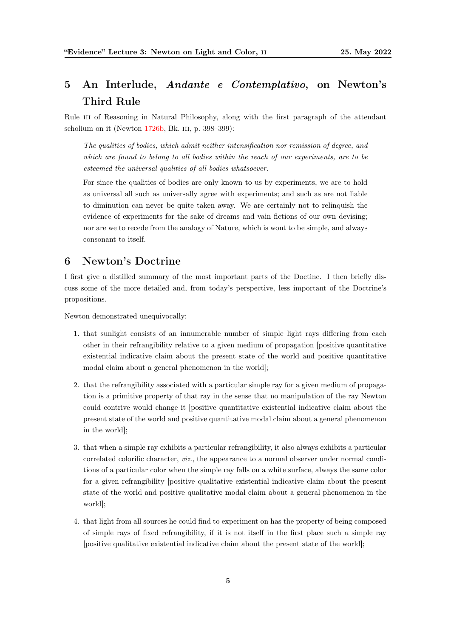# <span id="page-4-0"></span>5 An Interlude, Andante e Contemplativo, on Newton's Third Rule

Rule III of Reasoning in Natural Philosophy, along with the first paragraph of the attendant scholium on it (Newton [1726b,](#page-8-4) Bk. iii, p. 398–399):

The qualities of bodies, which admit neither intensification nor remission of degree, and which are found to belong to all bodies within the reach of our experiments, are to be esteemed the universal qualities of all bodies whatsoever.

For since the qualities of bodies are only known to us by experiments, we are to hold as universal all such as universally agree with experiments; and such as are not liable to diminution can never be quite taken away. We are certainly not to relinquish the evidence of experiments for the sake of dreams and vain fictions of our own devising; nor are we to recede from the analogy of Nature, which is wont to be simple, and always consonant to itself.

## <span id="page-4-1"></span>6 Newton's Doctrine

I first give a distilled summary of the most important parts of the Doctine. I then briefly discuss some of the more detailed and, from today's perspective, less important of the Doctrine's propositions.

Newton demonstrated unequivocally:

- 1. that sunlight consists of an innumerable number of simple light rays differing from each other in their refrangibility relative to a given medium of propagation [positive quantitative existential indicative claim about the present state of the world and positive quantitative modal claim about a general phenomenon in the world];
- 2. that the refrangibility associated with a particular simple ray for a given medium of propagation is a primitive property of that ray in the sense that no manipulation of the ray Newton could contrive would change it [positive quantitative existential indicative claim about the present state of the world and positive quantitative modal claim about a general phenomenon in the world];
- 3. that when a simple ray exhibits a particular refrangibility, it also always exhibits a particular correlated colorific character, *viz.*, the appearance to a normal observer under normal conditions of a particular color when the simple ray falls on a white surface, always the same color for a given refrangibility [positive qualitative existential indicative claim about the present state of the world and positive qualitative modal claim about a general phenomenon in the world];
- 4. that light from all sources he could find to experiment on has the property of being composed of simple rays of fixed refrangibility, if it is not itself in the first place such a simple ray [positive qualitative existential indicative claim about the present state of the world];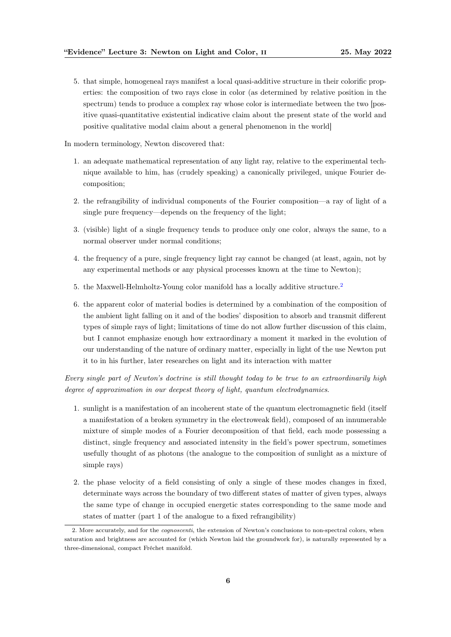5. that simple, homogeneal rays manifest a local quasi-additive structure in their colorific properties: the composition of two rays close in color (as determined by relative position in the spectrum) tends to produce a complex ray whose color is intermediate between the two [positive quasi-quantitative existential indicative claim about the present state of the world and positive qualitative modal claim about a general phenomenon in the world]

In modern terminology, Newton discovered that:

- 1. an adequate mathematical representation of any light ray, relative to the experimental technique available to him, has (crudely speaking) a canonically privileged, unique Fourier decomposition;
- 2. the refrangibility of individual components of the Fourier composition—a ray of light of a single pure frequency—depends on the frequency of the light;
- 3. (visible) light of a single frequency tends to produce only one color, always the same, to a normal observer under normal conditions;
- 4. the frequency of a pure, single frequency light ray cannot be changed (at least, again, not by any experimental methods or any physical processes known at the time to Newton);
- 5. the Maxwell-Helmholtz-Young color manifold has a locally additive structure.<sup>[2](#page-5-0)</sup>
- 6. the apparent color of material bodies is determined by a combination of the composition of the ambient light falling on it and of the bodies' disposition to absorb and transmit different types of simple rays of light; limitations of time do not allow further discussion of this claim, but I cannot emphasize enough how extraordinary a moment it marked in the evolution of our understanding of the nature of ordinary matter, especially in light of the use Newton put it to in his further, later researches on light and its interaction with matter

Every single part of Newton's doctrine is still thought today to be true to an extraordinarily high degree of approximation in our deepest theory of light, quantum electrodynamics.

- 1. sunlight is a manifestation of an incoherent state of the quantum electromagnetic field (itself a manifestation of a broken symmetry in the electroweak field), composed of an innumerable mixture of simple modes of a Fourier decomposition of that field, each mode possessing a distinct, single frequency and associated intensity in the field's power spectrum, sometimes usefully thought of as photons (the analogue to the composition of sunlight as a mixture of simple rays)
- 2. the phase velocity of a field consisting of only a single of these modes changes in fixed, determinate ways across the boundary of two different states of matter of given types, always the same type of change in occupied energetic states corresponding to the same mode and states of matter (part 1 of the analogue to a fixed refrangibility)

<span id="page-5-0"></span><sup>2.</sup> More accurately, and for the cognoscenti, the extension of Newton's conclusions to non-spectral colors, when saturation and brightness are accounted for (which Newton laid the groundwork for), is naturally represented by a three-dimensional, compact Fréchet manifold.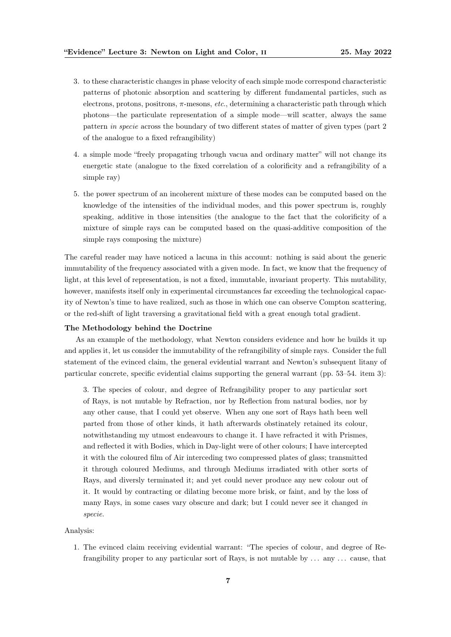- 3. to these characteristic changes in phase velocity of each simple mode correspond characteristic patterns of photonic absorption and scattering by different fundamental particles, such as electrons, protons, positrons,  $\pi$ -mesons, *etc.*, determining a characteristic path through which photons—the particulate representation of a simple mode—will scatter, always the same pattern in specie across the boundary of two different states of matter of given types (part 2 of the analogue to a fixed refrangibility)
- 4. a simple mode "freely propagating trhough vacua and ordinary matter" will not change its energetic state (analogue to the fixed correlation of a colorificity and a refrangibility of a simple ray)
- 5. the power spectrum of an incoherent mixture of these modes can be computed based on the knowledge of the intensities of the individual modes, and this power spectrum is, roughly speaking, additive in those intensities (the analogue to the fact that the colorificity of a mixture of simple rays can be computed based on the quasi-additive composition of the simple rays composing the mixture)

The careful reader may have noticed a lacuna in this account: nothing is said about the generic immutability of the frequency associated with a given mode. In fact, we know that the frequency of light, at this level of representation, is not a fixed, immutable, invariant property. This mutability, however, manifests itself only in experimental circumstances far exceeding the technological capacity of Newton's time to have realized, such as those in which one can observe Compton scattering, or the red-shift of light traversing a gravitational field with a great enough total gradient.

#### The Methodology behind the Doctrine

As an example of the methodology, what Newton considers evidence and how he builds it up and applies it, let us consider the immutability of the refrangibility of simple rays. Consider the full statement of the evinced claim, the general evidential warrant and Newton's subsequent litany of particular concrete, specific evidential claims supporting the general warrant (pp. 53–54. item 3):

3. The species of colour, and degree of Refrangibility proper to any particular sort of Rays, is not mutable by Refraction, nor by Reflection from natural bodies, nor by any other cause, that I could yet observe. When any one sort of Rays hath been well parted from those of other kinds, it hath afterwards obstinately retained its colour, notwithstanding my utmost endeavours to change it. I have refracted it with Prismes, and reflected it with Bodies, which in Day-light were of other colours; I have intercepted it with the coloured film of Air interceding two compressed plates of glass; transmitted it through coloured Mediums, and through Mediums irradiated with other sorts of Rays, and diversly terminated it; and yet could never produce any new colour out of it. It would by contracting or dilating become more brisk, or faint, and by the loss of many Rays, in some cases vary obscure and dark; but I could never see it changed in specie.

#### Analysis:

1. The evinced claim receiving evidential warrant: "The species of colour, and degree of Refrangibility proper to any particular sort of Rays, is not mutable by . . . any . . . cause, that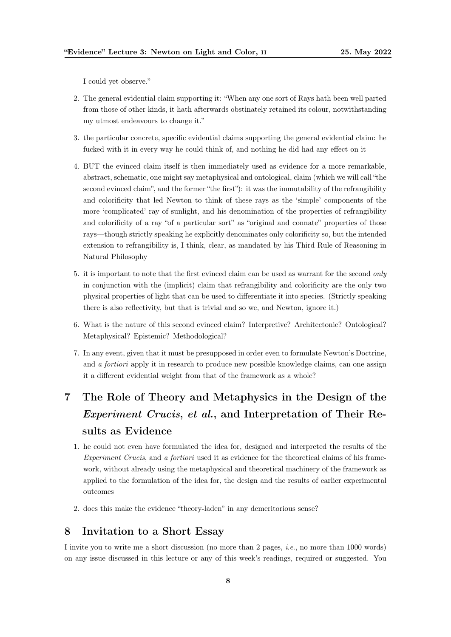I could yet observe."

- 2. The general evidential claim supporting it: "When any one sort of Rays hath been well parted from those of other kinds, it hath afterwards obstinately retained its colour, notwithstanding my utmost endeavours to change it."
- 3. the particular concrete, specific evidential claims supporting the general evidential claim: he fucked with it in every way he could think of, and nothing he did had any effect on it
- 4. BUT the evinced claim itself is then immediately used as evidence for a more remarkable, abstract, schematic, one might say metaphysical and ontological, claim (which we will call "the second evinced claim", and the former "the first"): it was the immutability of the refrangibility and colorificity that led Newton to think of these rays as the 'simple' components of the more 'complicated' ray of sunlight, and his denomination of the properties of refrangibility and colorificity of a ray "of a particular sort" as "original and connate" properties of those rays—though strictly speaking he explicitly denominates only colorificity so, but the intended extension to refrangibility is, I think, clear, as mandated by his Third Rule of Reasoning in Natural Philosophy
- 5. it is important to note that the first evinced claim can be used as warrant for the second only in conjunction with the (implicit) claim that refrangibility and colorificity are the only two physical properties of light that can be used to differentiate it into species. (Strictly speaking there is also reflectivity, but that is trivial and so we, and Newton, ignore it.)
- 6. What is the nature of this second evinced claim? Interpretive? Architectonic? Ontological? Metaphysical? Epistemic? Methodological?
- 7. In any event, given that it must be presupposed in order even to formulate Newton's Doctrine, and a fortiori apply it in research to produce new possible knowledge claims, can one assign it a different evidential weight from that of the framework as a whole?

# <span id="page-7-0"></span>7 The Role of Theory and Metaphysics in the Design of the Experiment Crucis, et al., and Interpretation of Their Results as Evidence

- 1. he could not even have formulated the idea for, designed and interpreted the results of the Experiment Crucis, and a fortiori used it as evidence for the theoretical claims of his framework, without already using the metaphysical and theoretical machinery of the framework as applied to the formulation of the idea for, the design and the results of earlier experimental outcomes
- 2. does this make the evidence "theory-laden" in any demeritorious sense?

#### <span id="page-7-1"></span>8 Invitation to a Short Essay

I invite you to write me a short discussion (no more than 2 pages, i.e., no more than 1000 words) on any issue discussed in this lecture or any of this week's readings, required or suggested. You